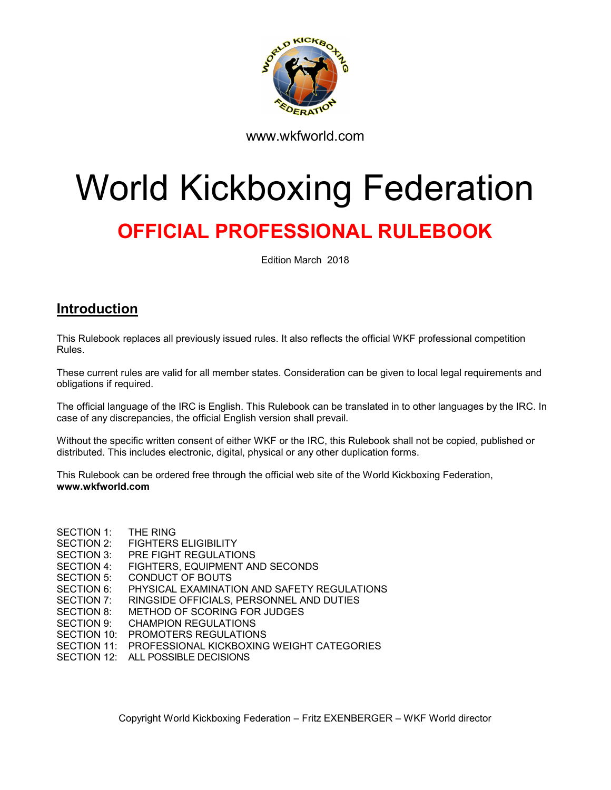

www.wkfworld.com

# World Kickboxing Federation

# OFFICIAL PROFESSIONAL RULEBOOK

Edition March 2018

# Introduction

This Rulebook replaces all previously issued rules. It also reflects the official WKF professional competition Rules.

These current rules are valid for all member states. Consideration can be given to local legal requirements and obligations if required.

The official language of the IRC is English. This Rulebook can be translated in to other languages by the IRC. In case of any discrepancies, the official English version shall prevail.

Without the specific written consent of either WKF or the IRC, this Rulebook shall not be copied, published or distributed. This includes electronic, digital, physical or any other duplication forms.

This Rulebook can be ordered free through the official web site of the World Kickboxing Federation, www.wkfworld.com

SECTION 1: THE RING SECTION 2: FIGHTERS ELIGIBILITY SECTION 3: PRE FIGHT REGULATIONS SECTION 4: FIGHTERS, EQUIPMENT AND SECONDS SECTION 5: CONDUCT OF BOUTS SECTION 6: PHYSICAL EXAMINATION AND SAFETY REGULATIONS SECTION 7: RINGSIDE OFFICIALS, PERSONNEL AND DUTIES SECTION 8: METHOD OF SCORING FOR JUDGES SECTION 9: CHAMPION REGULATIONS SECTION 10: PROMOTERS REGULATIONS SECTION 11: PROFESSIONAL KICKBOXING WEIGHT CATEGORIES SECTION 12: ALL POSSIBLE DECISIONS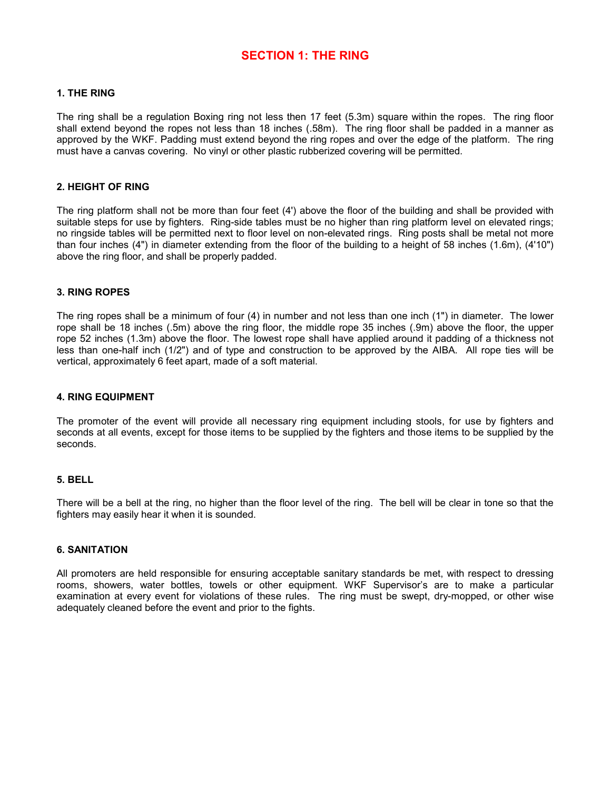# SECTION 1: THE RING

#### 1. THE RING

The ring shall be a regulation Boxing ring not less then 17 feet (5.3m) square within the ropes. The ring floor shall extend beyond the ropes not less than 18 inches (.58m). The ring floor shall be padded in a manner as approved by the WKF. Padding must extend beyond the ring ropes and over the edge of the platform. The ring must have a canvas covering. No vinyl or other plastic rubberized covering will be permitted.

#### 2. HEIGHT OF RING

The ring platform shall not be more than four feet (4') above the floor of the building and shall be provided with suitable steps for use by fighters. Ring-side tables must be no higher than ring platform level on elevated rings; no ringside tables will be permitted next to floor level on non-elevated rings. Ring posts shall be metal not more than four inches (4") in diameter extending from the floor of the building to a height of 58 inches (1.6m), (4'10") above the ring floor, and shall be properly padded.

#### 3. RING ROPES

The ring ropes shall be a minimum of four (4) in number and not less than one inch (1") in diameter. The lower rope shall be 18 inches (.5m) above the ring floor, the middle rope 35 inches (.9m) above the floor, the upper rope 52 inches (1.3m) above the floor. The lowest rope shall have applied around it padding of a thickness not less than one-half inch (1/2") and of type and construction to be approved by the AIBA. All rope ties will be vertical, approximately 6 feet apart, made of a soft material.

#### 4. RING EQUIPMENT

The promoter of the event will provide all necessary ring equipment including stools, for use by fighters and seconds at all events, except for those items to be supplied by the fighters and those items to be supplied by the seconds.

#### 5. BELL

There will be a bell at the ring, no higher than the floor level of the ring. The bell will be clear in tone so that the fighters may easily hear it when it is sounded.

#### 6. SANITATION

All promoters are held responsible for ensuring acceptable sanitary standards be met, with respect to dressing rooms, showers, water bottles, towels or other equipment. WKF Supervisor's are to make a particular examination at every event for violations of these rules. The ring must be swept, dry-mopped, or other wise adequately cleaned before the event and prior to the fights.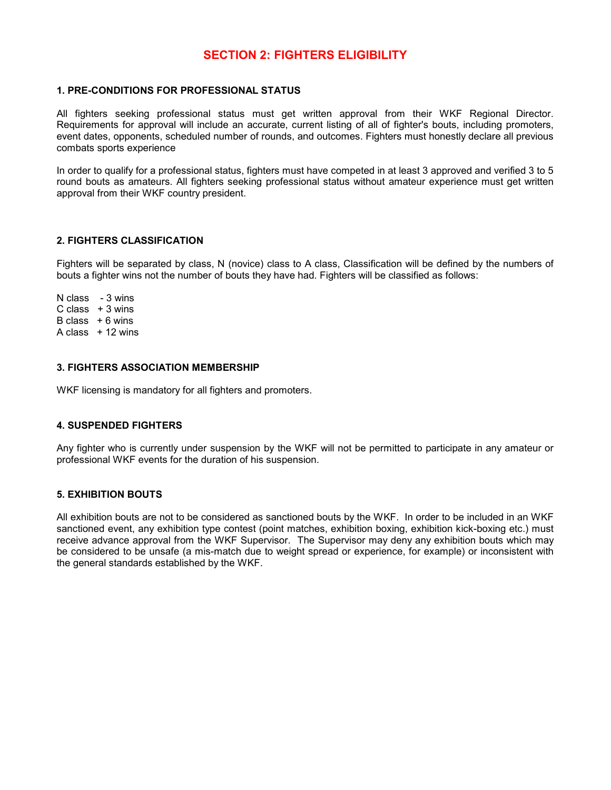# SECTION 2: FIGHTERS ELIGIBILITY

#### 1. PRE-CONDITIONS FOR PROFESSIONAL STATUS

All fighters seeking professional status must get written approval from their WKF Regional Director. Requirements for approval will include an accurate, current listing of all of fighter's bouts, including promoters, event dates, opponents, scheduled number of rounds, and outcomes. Fighters must honestly declare all previous combats sports experience

In order to qualify for a professional status, fighters must have competed in at least 3 approved and verified 3 to 5 round bouts as amateurs. All fighters seeking professional status without amateur experience must get written approval from their WKF country president.

#### 2. FIGHTERS CLASSIFICATION

Fighters will be separated by class, N (novice) class to A class, Classification will be defined by the numbers of bouts a fighter wins not the number of bouts they have had. Fighters will be classified as follows:

N class - 3 wins  $C$  class  $+3$  wins  $B \text{ class } + 6 \text{ wins}$ A class  $+12$  wins

#### 3. FIGHTERS ASSOCIATION MEMBERSHIP

WKF licensing is mandatory for all fighters and promoters.

#### 4. SUSPENDED FIGHTERS

Any fighter who is currently under suspension by the WKF will not be permitted to participate in any amateur or professional WKF events for the duration of his suspension.

#### 5. EXHIBITION BOUTS

All exhibition bouts are not to be considered as sanctioned bouts by the WKF. In order to be included in an WKF sanctioned event, any exhibition type contest (point matches, exhibition boxing, exhibition kick-boxing etc.) must receive advance approval from the WKF Supervisor. The Supervisor may deny any exhibition bouts which may be considered to be unsafe (a mis-match due to weight spread or experience, for example) or inconsistent with the general standards established by the WKF.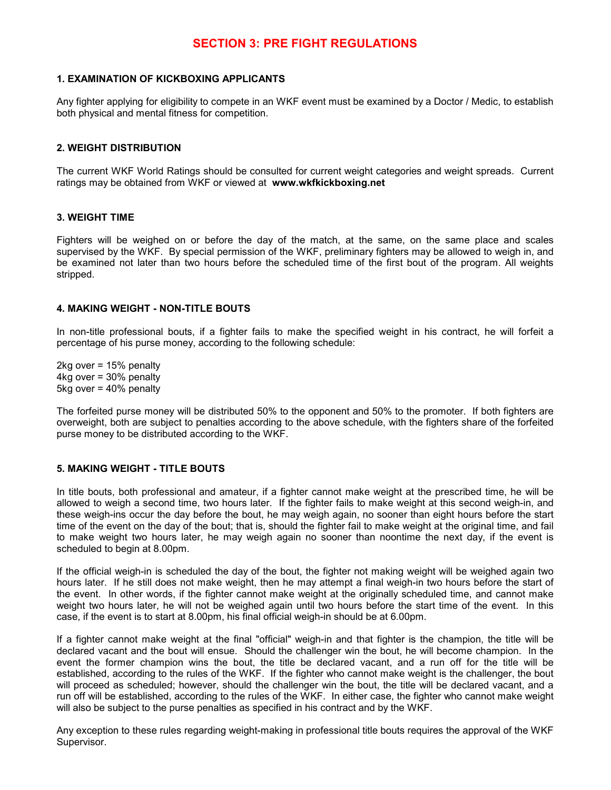# SECTION 3: PRE FIGHT REGULATIONS

#### 1. EXAMINATION OF KICKBOXING APPLICANTS

Any fighter applying for eligibility to compete in an WKF event must be examined by a Doctor / Medic, to establish both physical and mental fitness for competition.

#### 2. WEIGHT DISTRIBUTION

The current WKF World Ratings should be consulted for current weight categories and weight spreads. Current ratings may be obtained from WKF or viewed at www.wkfkickboxing.net

#### 3. WEIGHT TIME

Fighters will be weighed on or before the day of the match, at the same, on the same place and scales supervised by the WKF. By special permission of the WKF, preliminary fighters may be allowed to weigh in, and be examined not later than two hours before the scheduled time of the first bout of the program. All weights stripped.

#### 4. MAKING WEIGHT - NON-TITLE BOUTS

In non-title professional bouts, if a fighter fails to make the specified weight in his contract, he will forfeit a percentage of his purse money, according to the following schedule:

2kg over = 15% penalty 4kg over = 30% penalty 5kg over = 40% penalty

The forfeited purse money will be distributed 50% to the opponent and 50% to the promoter. If both fighters are overweight, both are subject to penalties according to the above schedule, with the fighters share of the forfeited purse money to be distributed according to the WKF.

#### 5. MAKING WEIGHT - TITLE BOUTS

In title bouts, both professional and amateur, if a fighter cannot make weight at the prescribed time, he will be allowed to weigh a second time, two hours later. If the fighter fails to make weight at this second weigh-in, and these weigh-ins occur the day before the bout, he may weigh again, no sooner than eight hours before the start time of the event on the day of the bout; that is, should the fighter fail to make weight at the original time, and fail to make weight two hours later, he may weigh again no sooner than noontime the next day, if the event is scheduled to begin at 8.00pm.

If the official weigh-in is scheduled the day of the bout, the fighter not making weight will be weighed again two hours later. If he still does not make weight, then he may attempt a final weigh-in two hours before the start of the event. In other words, if the fighter cannot make weight at the originally scheduled time, and cannot make weight two hours later, he will not be weighed again until two hours before the start time of the event. In this case, if the event is to start at 8.00pm, his final official weigh-in should be at 6.00pm.

If a fighter cannot make weight at the final "official" weigh-in and that fighter is the champion, the title will be declared vacant and the bout will ensue. Should the challenger win the bout, he will become champion. In the event the former champion wins the bout, the title be declared vacant, and a run off for the title will be established, according to the rules of the WKF. If the fighter who cannot make weight is the challenger, the bout will proceed as scheduled; however, should the challenger win the bout, the title will be declared vacant, and a run off will be established, according to the rules of the WKF. In either case, the fighter who cannot make weight will also be subject to the purse penalties as specified in his contract and by the WKF.

Any exception to these rules regarding weight-making in professional title bouts requires the approval of the WKF Supervisor.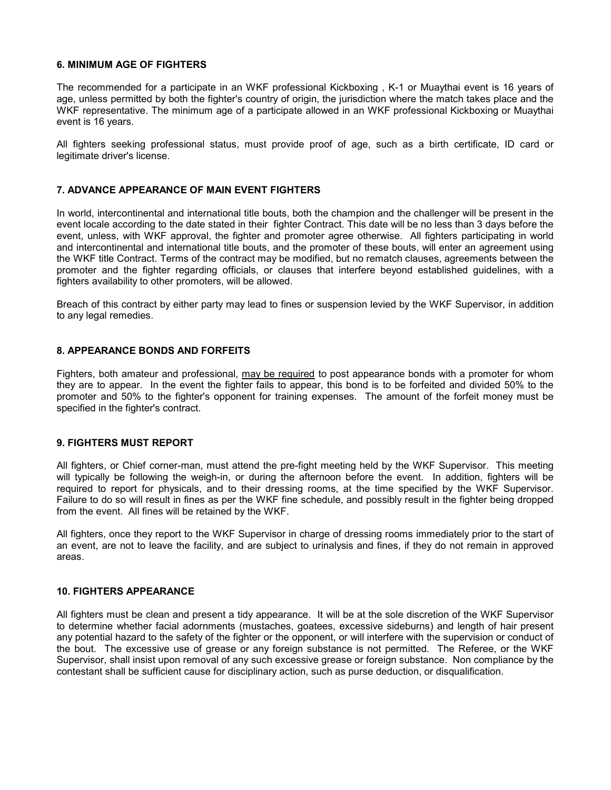#### 6. MINIMUM AGE OF FIGHTERS

The recommended for a participate in an WKF professional Kickboxing , K-1 or Muaythai event is 16 years of age, unless permitted by both the fighter's country of origin, the jurisdiction where the match takes place and the WKF representative. The minimum age of a participate allowed in an WKF professional Kickboxing or Muaythai event is 16 years.

All fighters seeking professional status, must provide proof of age, such as a birth certificate, ID card or legitimate driver's license.

#### 7. ADVANCE APPEARANCE OF MAIN EVENT FIGHTERS

In world, intercontinental and international title bouts, both the champion and the challenger will be present in the event locale according to the date stated in their fighter Contract. This date will be no less than 3 days before the event, unless, with WKF approval, the fighter and promoter agree otherwise. All fighters participating in world and intercontinental and international title bouts, and the promoter of these bouts, will enter an agreement using the WKF title Contract. Terms of the contract may be modified, but no rematch clauses, agreements between the promoter and the fighter regarding officials, or clauses that interfere beyond established guidelines, with a fighters availability to other promoters, will be allowed.

Breach of this contract by either party may lead to fines or suspension levied by the WKF Supervisor, in addition to any legal remedies.

#### 8. APPEARANCE BONDS AND FORFEITS

Fighters, both amateur and professional, may be required to post appearance bonds with a promoter for whom they are to appear. In the event the fighter fails to appear, this bond is to be forfeited and divided 50% to the promoter and 50% to the fighter's opponent for training expenses. The amount of the forfeit money must be specified in the fighter's contract.

#### 9. FIGHTERS MUST REPORT

All fighters, or Chief corner-man, must attend the pre-fight meeting held by the WKF Supervisor. This meeting will typically be following the weigh-in, or during the afternoon before the event. In addition, fighters will be required to report for physicals, and to their dressing rooms, at the time specified by the WKF Supervisor. Failure to do so will result in fines as per the WKF fine schedule, and possibly result in the fighter being dropped from the event. All fines will be retained by the WKF.

All fighters, once they report to the WKF Supervisor in charge of dressing rooms immediately prior to the start of an event, are not to leave the facility, and are subject to urinalysis and fines, if they do not remain in approved areas.

#### 10. FIGHTERS APPEARANCE

All fighters must be clean and present a tidy appearance. It will be at the sole discretion of the WKF Supervisor to determine whether facial adornments (mustaches, goatees, excessive sideburns) and length of hair present any potential hazard to the safety of the fighter or the opponent, or will interfere with the supervision or conduct of the bout. The excessive use of grease or any foreign substance is not permitted. The Referee, or the WKF Supervisor, shall insist upon removal of any such excessive grease or foreign substance. Non compliance by the contestant shall be sufficient cause for disciplinary action, such as purse deduction, or disqualification.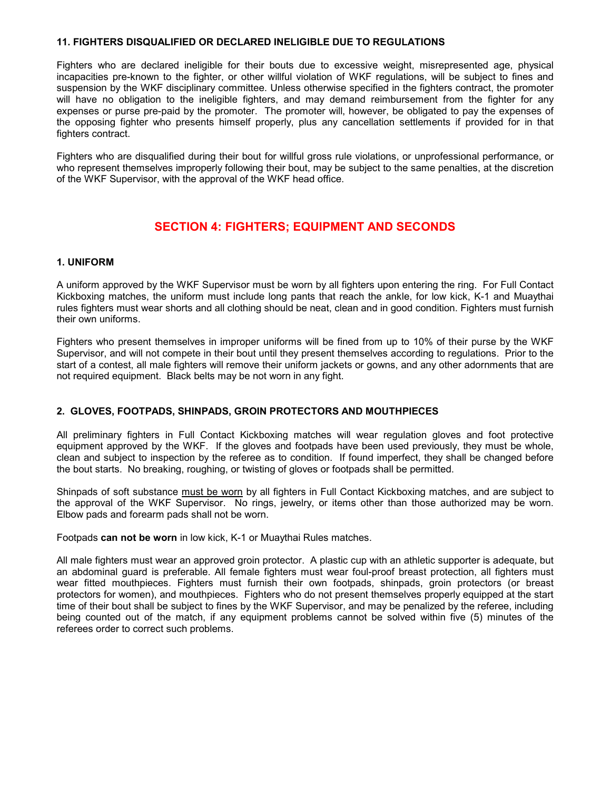#### 11. FIGHTERS DISQUALIFIED OR DECLARED INELIGIBLE DUE TO REGULATIONS

Fighters who are declared ineligible for their bouts due to excessive weight, misrepresented age, physical incapacities pre-known to the fighter, or other willful violation of WKF regulations, will be subject to fines and suspension by the WKF disciplinary committee. Unless otherwise specified in the fighters contract, the promoter will have no obligation to the ineligible fighters, and may demand reimbursement from the fighter for any expenses or purse pre-paid by the promoter. The promoter will, however, be obligated to pay the expenses of the opposing fighter who presents himself properly, plus any cancellation settlements if provided for in that fighters contract.

Fighters who are disqualified during their bout for willful gross rule violations, or unprofessional performance, or who represent themselves improperly following their bout, may be subject to the same penalties, at the discretion of the WKF Supervisor, with the approval of the WKF head office.

# SECTION 4: FIGHTERS; EQUIPMENT AND SECONDS

#### 1. UNIFORM

A uniform approved by the WKF Supervisor must be worn by all fighters upon entering the ring. For Full Contact Kickboxing matches, the uniform must include long pants that reach the ankle, for low kick, K-1 and Muaythai rules fighters must wear shorts and all clothing should be neat, clean and in good condition. Fighters must furnish their own uniforms.

Fighters who present themselves in improper uniforms will be fined from up to 10% of their purse by the WKF Supervisor, and will not compete in their bout until they present themselves according to regulations. Prior to the start of a contest, all male fighters will remove their uniform jackets or gowns, and any other adornments that are not required equipment. Black belts may be not worn in any fight.

#### 2. GLOVES, FOOTPADS, SHINPADS, GROIN PROTECTORS AND MOUTHPIECES

All preliminary fighters in Full Contact Kickboxing matches will wear regulation gloves and foot protective equipment approved by the WKF. If the gloves and footpads have been used previously, they must be whole, clean and subject to inspection by the referee as to condition. If found imperfect, they shall be changed before the bout starts. No breaking, roughing, or twisting of gloves or footpads shall be permitted.

Shinpads of soft substance must be worn by all fighters in Full Contact Kickboxing matches, and are subject to the approval of the WKF Supervisor. No rings, jewelry, or items other than those authorized may be worn. Elbow pads and forearm pads shall not be worn.

Footpads can not be worn in low kick, K-1 or Muaythai Rules matches.

All male fighters must wear an approved groin protector. A plastic cup with an athletic supporter is adequate, but an abdominal guard is preferable. All female fighters must wear foul-proof breast protection, all fighters must wear fitted mouthpieces. Fighters must furnish their own footpads, shinpads, groin protectors (or breast protectors for women), and mouthpieces. Fighters who do not present themselves properly equipped at the start time of their bout shall be subject to fines by the WKF Supervisor, and may be penalized by the referee, including being counted out of the match, if any equipment problems cannot be solved within five (5) minutes of the referees order to correct such problems.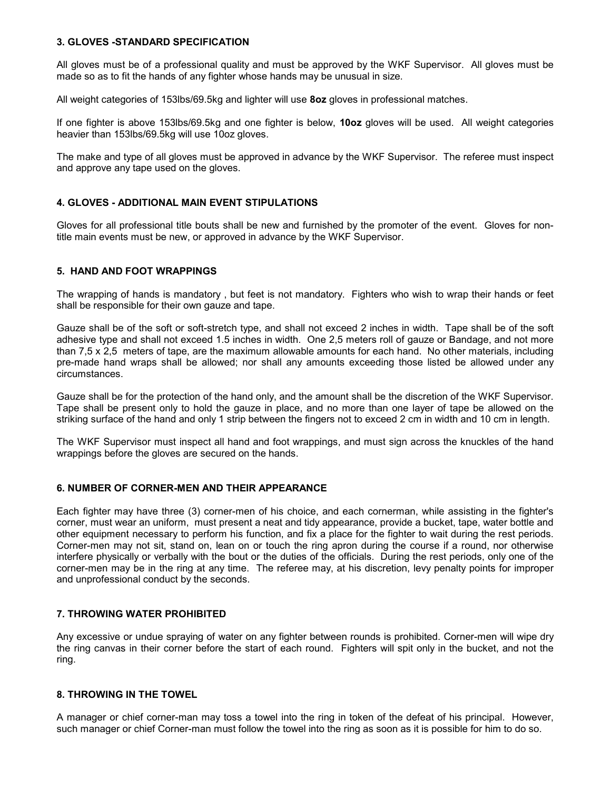#### 3. GLOVES -STANDARD SPECIFICATION

All gloves must be of a professional quality and must be approved by the WKF Supervisor. All gloves must be made so as to fit the hands of any fighter whose hands may be unusual in size.

All weight categories of 153lbs/69.5kg and lighter will use 8oz gloves in professional matches.

If one fighter is above 153lbs/69.5kg and one fighter is below, 10oz gloves will be used. All weight categories heavier than 153lbs/69.5kg will use 10oz gloves.

The make and type of all gloves must be approved in advance by the WKF Supervisor. The referee must inspect and approve any tape used on the gloves.

#### 4. GLOVES - ADDITIONAL MAIN EVENT STIPULATIONS

Gloves for all professional title bouts shall be new and furnished by the promoter of the event. Gloves for nontitle main events must be new, or approved in advance by the WKF Supervisor.

#### 5. HAND AND FOOT WRAPPINGS

The wrapping of hands is mandatory , but feet is not mandatory. Fighters who wish to wrap their hands or feet shall be responsible for their own gauze and tape.

Gauze shall be of the soft or soft-stretch type, and shall not exceed 2 inches in width. Tape shall be of the soft adhesive type and shall not exceed 1.5 inches in width. One 2,5 meters roll of gauze or Bandage, and not more than 7,5 x 2,5 meters of tape, are the maximum allowable amounts for each hand. No other materials, including pre-made hand wraps shall be allowed; nor shall any amounts exceeding those listed be allowed under any circumstances.

Gauze shall be for the protection of the hand only, and the amount shall be the discretion of the WKF Supervisor. Tape shall be present only to hold the gauze in place, and no more than one layer of tape be allowed on the striking surface of the hand and only 1 strip between the fingers not to exceed 2 cm in width and 10 cm in length.

The WKF Supervisor must inspect all hand and foot wrappings, and must sign across the knuckles of the hand wrappings before the gloves are secured on the hands.

#### 6. NUMBER OF CORNER-MEN AND THEIR APPEARANCE

Each fighter may have three (3) corner-men of his choice, and each cornerman, while assisting in the fighter's corner, must wear an uniform, must present a neat and tidy appearance, provide a bucket, tape, water bottle and other equipment necessary to perform his function, and fix a place for the fighter to wait during the rest periods. Corner-men may not sit, stand on, lean on or touch the ring apron during the course if a round, nor otherwise interfere physically or verbally with the bout or the duties of the officials. During the rest periods, only one of the corner-men may be in the ring at any time. The referee may, at his discretion, levy penalty points for improper and unprofessional conduct by the seconds.

#### 7. THROWING WATER PROHIBITED

Any excessive or undue spraying of water on any fighter between rounds is prohibited. Corner-men will wipe dry the ring canvas in their corner before the start of each round. Fighters will spit only in the bucket, and not the ring.

#### 8. THROWING IN THE TOWEL

A manager or chief corner-man may toss a towel into the ring in token of the defeat of his principal. However, such manager or chief Corner-man must follow the towel into the ring as soon as it is possible for him to do so.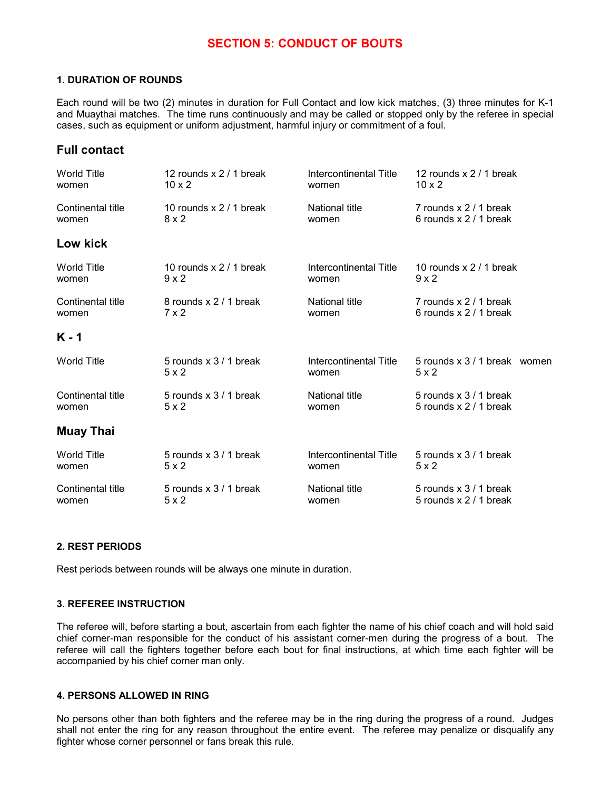# SECTION 5: CONDUCT OF BOUTS

#### 1. DURATION OF ROUNDS

Each round will be two (2) minutes in duration for Full Contact and low kick matches, (3) three minutes for K-1 and Muaythai matches. The time runs continuously and may be called or stopped only by the referee in special cases, such as equipment or uniform adjustment, harmful injury or commitment of a foul.

# Full contact

| <b>World Title</b> | 12 rounds x 2 / 1 break   | Intercontinental Title | 12 rounds $x 2 / 1$ break    |  |
|--------------------|---------------------------|------------------------|------------------------------|--|
| women              | $10 \times 2$             | women                  | $10 \times 2$                |  |
| Continental title  | 10 rounds $x$ 2 / 1 break | National title         | 7 rounds x 2 / 1 break       |  |
| women              | 8x2                       | women                  | 6 rounds x 2 / 1 break       |  |
| Low kick           |                           |                        |                              |  |
| <b>World Title</b> | 10 rounds $x$ 2 / 1 break | Intercontinental Title | 10 rounds $x$ 2 / 1 break    |  |
| women              | $9 \times 2$              | women                  | $9 \times 2$                 |  |
| Continental title  | 8 rounds x 2 / 1 break    | National title         | 7 rounds x 2 / 1 break       |  |
| women              | $7 \times 2$              | women                  | 6 rounds x 2 / 1 break       |  |
| $K - 1$            |                           |                        |                              |  |
| <b>World Title</b> | 5 rounds x 3 / 1 break    | Intercontinental Title | 5 rounds x 3 / 1 break women |  |
|                    | 5x2                       | women                  | 5x2                          |  |
| Continental title  | 5 rounds x 3 / 1 break    | National title         | 5 rounds x 3 / 1 break       |  |
| women              | $5 \times 2$              | women                  | 5 rounds x 2 / 1 break       |  |
| <b>Muay Thai</b>   |                           |                        |                              |  |
| <b>World Title</b> | 5 rounds x 3 / 1 break    | Intercontinental Title | 5 rounds x 3 / 1 break       |  |
| women              | 5x2                       | women                  | 5x2                          |  |
| Continental title  | 5 rounds x 3 / 1 break    | National title         | 5 rounds x 3 / 1 break       |  |
| women              | 5x2                       | women                  | 5 rounds x 2 / 1 break       |  |

#### 2. REST PERIODS

Rest periods between rounds will be always one minute in duration.

#### 3. REFEREE INSTRUCTION

The referee will, before starting a bout, ascertain from each fighter the name of his chief coach and will hold said chief corner-man responsible for the conduct of his assistant corner-men during the progress of a bout. The referee will call the fighters together before each bout for final instructions, at which time each fighter will be accompanied by his chief corner man only.

#### 4. PERSONS ALLOWED IN RING

No persons other than both fighters and the referee may be in the ring during the progress of a round. Judges shall not enter the ring for any reason throughout the entire event. The referee may penalize or disqualify any fighter whose corner personnel or fans break this rule.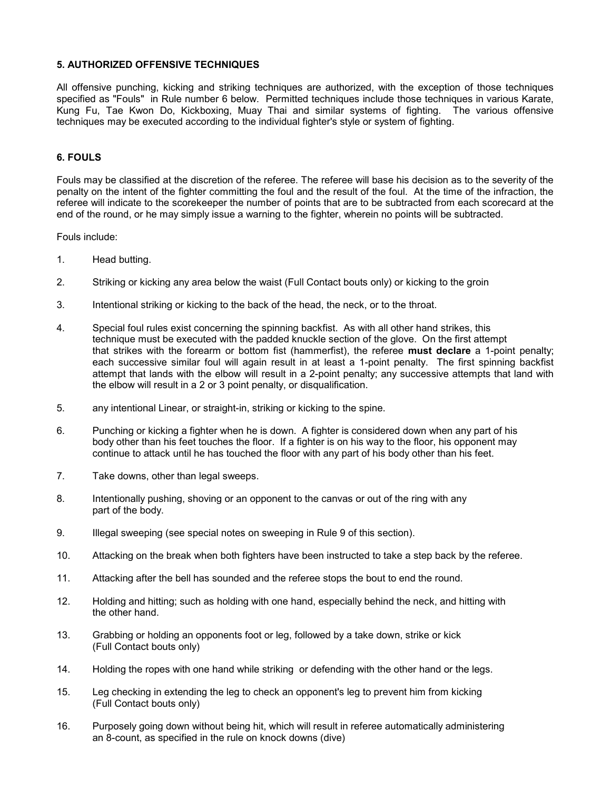#### 5. AUTHORIZED OFFENSIVE TECHNIQUES

All offensive punching, kicking and striking techniques are authorized, with the exception of those techniques specified as "Fouls" in Rule number 6 below. Permitted techniques include those techniques in various Karate, Kung Fu, Tae Kwon Do, Kickboxing, Muay Thai and similar systems of fighting. The various offensive techniques may be executed according to the individual fighter's style or system of fighting.

#### 6. FOULS

Fouls may be classified at the discretion of the referee. The referee will base his decision as to the severity of the penalty on the intent of the fighter committing the foul and the result of the foul. At the time of the infraction, the referee will indicate to the scorekeeper the number of points that are to be subtracted from each scorecard at the end of the round, or he may simply issue a warning to the fighter, wherein no points will be subtracted.

Fouls include:

- 1. Head butting.
- 2. Striking or kicking any area below the waist (Full Contact bouts only) or kicking to the groin
- 3. Intentional striking or kicking to the back of the head, the neck, or to the throat.
- 4. Special foul rules exist concerning the spinning backfist. As with all other hand strikes, this technique must be executed with the padded knuckle section of the glove. On the first attempt that strikes with the forearm or bottom fist (hammerfist), the referee must declare a 1-point penalty; each successive similar foul will again result in at least a 1-point penalty. The first spinning backfist attempt that lands with the elbow will result in a 2-point penalty; any successive attempts that land with the elbow will result in a 2 or 3 point penalty, or disqualification.
- 5. any intentional Linear, or straight-in, striking or kicking to the spine.
- 6. Punching or kicking a fighter when he is down. A fighter is considered down when any part of his body other than his feet touches the floor. If a fighter is on his way to the floor, his opponent may continue to attack until he has touched the floor with any part of his body other than his feet.
- 7. Take downs, other than legal sweeps.
- 8. Intentionally pushing, shoving or an opponent to the canvas or out of the ring with any part of the body.
- 9. Illegal sweeping (see special notes on sweeping in Rule 9 of this section).
- 10. Attacking on the break when both fighters have been instructed to take a step back by the referee.
- 11. Attacking after the bell has sounded and the referee stops the bout to end the round.
- 12. Holding and hitting; such as holding with one hand, especially behind the neck, and hitting with the other hand.
- 13. Grabbing or holding an opponents foot or leg, followed by a take down, strike or kick (Full Contact bouts only)
- 14. Holding the ropes with one hand while striking or defending with the other hand or the legs.
- 15. Leg checking in extending the leg to check an opponent's leg to prevent him from kicking (Full Contact bouts only)
- 16. Purposely going down without being hit, which will result in referee automatically administering an 8-count, as specified in the rule on knock downs (dive)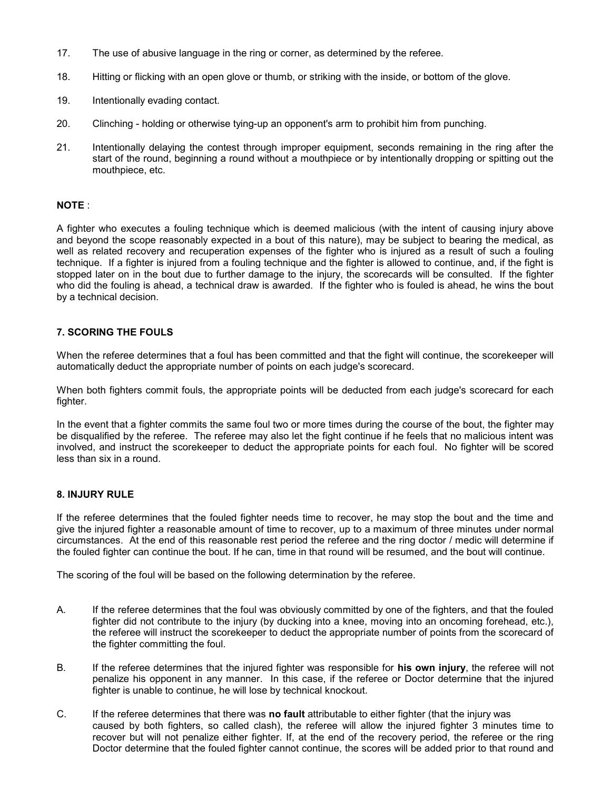- 17. The use of abusive language in the ring or corner, as determined by the referee.
- 18. Hitting or flicking with an open glove or thumb, or striking with the inside, or bottom of the glove.
- 19. Intentionally evading contact.
- 20. Clinching holding or otherwise tying-up an opponent's arm to prohibit him from punching.
- 21. Intentionally delaying the contest through improper equipment, seconds remaining in the ring after the start of the round, beginning a round without a mouthpiece or by intentionally dropping or spitting out the mouthpiece, etc.

#### NOTE :

A fighter who executes a fouling technique which is deemed malicious (with the intent of causing injury above and beyond the scope reasonably expected in a bout of this nature), may be subject to bearing the medical, as well as related recovery and recuperation expenses of the fighter who is injured as a result of such a fouling technique. If a fighter is injured from a fouling technique and the fighter is allowed to continue, and, if the fight is stopped later on in the bout due to further damage to the injury, the scorecards will be consulted. If the fighter who did the fouling is ahead, a technical draw is awarded. If the fighter who is fouled is ahead, he wins the bout by a technical decision.

#### 7. SCORING THE FOULS

When the referee determines that a foul has been committed and that the fight will continue, the scorekeeper will automatically deduct the appropriate number of points on each judge's scorecard.

When both fighters commit fouls, the appropriate points will be deducted from each judge's scorecard for each fighter.

In the event that a fighter commits the same foul two or more times during the course of the bout, the fighter may be disqualified by the referee. The referee may also let the fight continue if he feels that no malicious intent was involved, and instruct the scorekeeper to deduct the appropriate points for each foul. No fighter will be scored less than six in a round.

#### 8. INJURY RULE

If the referee determines that the fouled fighter needs time to recover, he may stop the bout and the time and give the injured fighter a reasonable amount of time to recover, up to a maximum of three minutes under normal circumstances. At the end of this reasonable rest period the referee and the ring doctor / medic will determine if the fouled fighter can continue the bout. If he can, time in that round will be resumed, and the bout will continue.

The scoring of the foul will be based on the following determination by the referee.

- A. If the referee determines that the foul was obviously committed by one of the fighters, and that the fouled fighter did not contribute to the injury (by ducking into a knee, moving into an oncoming forehead, etc.), the referee will instruct the scorekeeper to deduct the appropriate number of points from the scorecard of the fighter committing the foul.
- B. If the referee determines that the injured fighter was responsible for **his own injury**, the referee will not penalize his opponent in any manner. In this case, if the referee or Doctor determine that the injured fighter is unable to continue, he will lose by technical knockout.
- C. If the referee determines that there was **no fault** attributable to either fighter (that the injury was caused by both fighters, so called clash), the referee will allow the injured fighter 3 minutes time to recover but will not penalize either fighter. If, at the end of the recovery period, the referee or the ring Doctor determine that the fouled fighter cannot continue, the scores will be added prior to that round and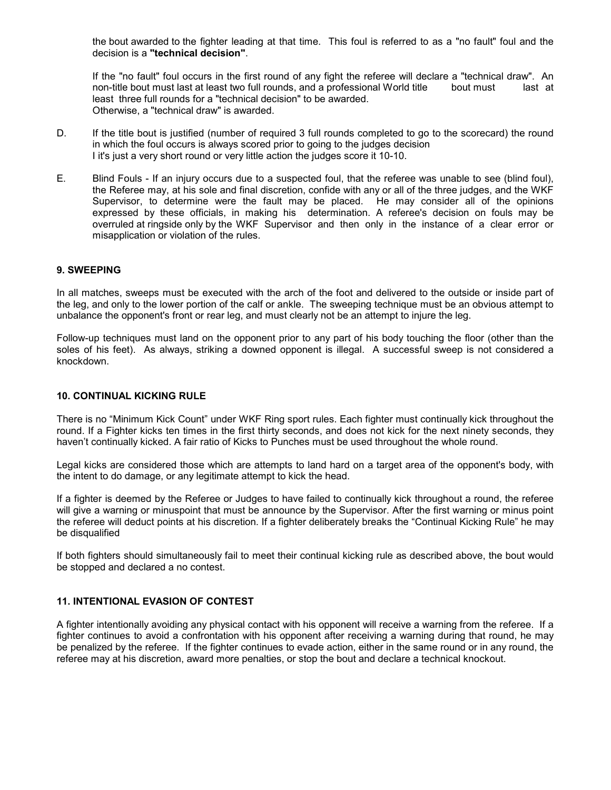the bout awarded to the fighter leading at that time. This foul is referred to as a "no fault" foul and the decision is a "technical decision".

 If the "no fault" foul occurs in the first round of any fight the referee will declare a "technical draw". An non-title bout must last at least two full rounds, and a professional World title bout must last at least three full rounds for a "technical decision" to be awarded. Otherwise, a "technical draw" is awarded.

- D. If the title bout is justified (number of required 3 full rounds completed to go to the scorecard) the round in which the foul occurs is always scored prior to going to the judges decision I it's just a very short round or very little action the judges score it 10-10.
- E. Blind Fouls If an injury occurs due to a suspected foul, that the referee was unable to see (blind foul), the Referee may, at his sole and final discretion, confide with any or all of the three judges, and the WKF Supervisor, to determine were the fault may be placed. He may consider all of the opinions expressed by these officials, in making his determination. A referee's decision on fouls may be overruled at ringside only by the WKF Supervisor and then only in the instance of a clear error or misapplication or violation of the rules.

#### 9. SWEEPING

In all matches, sweeps must be executed with the arch of the foot and delivered to the outside or inside part of the leg, and only to the lower portion of the calf or ankle. The sweeping technique must be an obvious attempt to unbalance the opponent's front or rear leg, and must clearly not be an attempt to injure the leg.

Follow-up techniques must land on the opponent prior to any part of his body touching the floor (other than the soles of his feet). As always, striking a downed opponent is illegal. A successful sweep is not considered a knockdown.

#### 10. CONTINUAL KICKING RULE

There is no "Minimum Kick Count" under WKF Ring sport rules. Each fighter must continually kick throughout the round. If a Fighter kicks ten times in the first thirty seconds, and does not kick for the next ninety seconds, they haven't continually kicked. A fair ratio of Kicks to Punches must be used throughout the whole round.

Legal kicks are considered those which are attempts to land hard on a target area of the opponent's body, with the intent to do damage, or any legitimate attempt to kick the head.

If a fighter is deemed by the Referee or Judges to have failed to continually kick throughout a round, the referee will give a warning or minuspoint that must be announce by the Supervisor. After the first warning or minus point the referee will deduct points at his discretion. If a fighter deliberately breaks the "Continual Kicking Rule" he may be disqualified

If both fighters should simultaneously fail to meet their continual kicking rule as described above, the bout would be stopped and declared a no contest.

#### 11. INTENTIONAL EVASION OF CONTEST

A fighter intentionally avoiding any physical contact with his opponent will receive a warning from the referee. If a fighter continues to avoid a confrontation with his opponent after receiving a warning during that round, he may be penalized by the referee. If the fighter continues to evade action, either in the same round or in any round, the referee may at his discretion, award more penalties, or stop the bout and declare a technical knockout.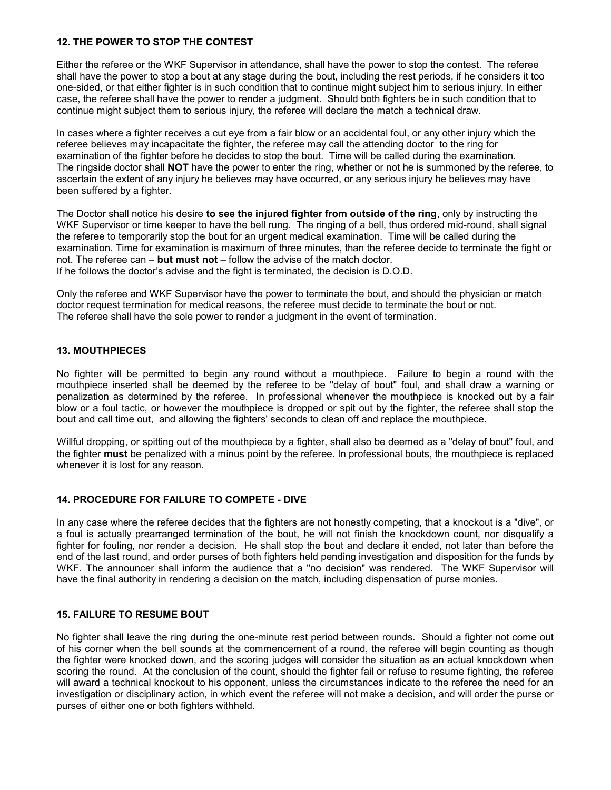#### 12. THE POWER TO STOP THE CONTEST

Either the referee or the WKF Supervisor in attendance, shall have the power to stop the contest. The referee shall have the power to stop a bout at any stage during the bout, including the rest periods, if he considers it too one-sided, or that either fighter is in such condition that to continue might subject him to serious injury. In either case, the referee shall have the power to render a judgment. Should both fighters be in such condition that to continue might subject them to serious injury, the referee will declare the match a technical draw.

In cases where a fighter receives a cut eye from a fair blow or an accidental foul, or any other injury which the referee believes may incapacitate the fighter, the referee may call the attending doctor to the ring for examination of the fighter before he decides to stop the bout. Time will be called during the examination. The ringside doctor shall NOT have the power to enter the ring, whether or not he is summoned by the referee, to ascertain the extent of any injury he believes may have occurred, or any serious injury he believes may have been suffered by a fighter.

The Doctor shall notice his desire to see the injured fighter from outside of the ring, only by instructing the WKF Supervisor or time keeper to have the bell rung. The ringing of a bell, thus ordered mid-round, shall signal the referee to temporarily stop the bout for an urgent medical examination. Time will be called during the examination. Time for examination is maximum of three minutes, than the referee decide to terminate the fight or not. The referee can  $-$  but must not  $-$  follow the advise of the match doctor. If he follows the doctor's advise and the fight is terminated, the decision is D.O.D.

Only the referee and WKF Supervisor have the power to terminate the bout, and should the physician or match doctor request termination for medical reasons, the referee must decide to terminate the bout or not. The referee shall have the sole power to render a judgment in the event of termination.

#### 13. MOUTHPIECES

No fighter will be permitted to begin any round without a mouthpiece. Failure to begin a round with the mouthpiece inserted shall be deemed by the referee to be "delay of bout" foul, and shall draw a warning or penalization as determined by the referee. In professional whenever the mouthpiece is knocked out by a fair blow or a foul tactic, or however the mouthpiece is dropped or spit out by the fighter, the referee shall stop the bout and call time out, and allowing the fighters' seconds to clean off and replace the mouthpiece.

Willful dropping, or spitting out of the mouthpiece by a fighter, shall also be deemed as a "delay of bout" foul, and the fighter must be penalized with a minus point by the referee. In professional bouts, the mouthpiece is replaced whenever it is lost for any reason.

#### 14. PROCEDURE FOR FAILURE TO COMPETE - DIVE

In any case where the referee decides that the fighters are not honestly competing, that a knockout is a "dive", or a foul is actually prearranged termination of the bout, he will not finish the knockdown count, nor disqualify a fighter for fouling, nor render a decision. He shall stop the bout and declare it ended, not later than before the end of the last round, and order purses of both fighters held pending investigation and disposition for the funds by WKF. The announcer shall inform the audience that a "no decision" was rendered. The WKF Supervisor will have the final authority in rendering a decision on the match, including dispensation of purse monies.

#### 15. FAILURE TO RESUME BOUT

No fighter shall leave the ring during the one-minute rest period between rounds. Should a fighter not come out of his corner when the bell sounds at the commencement of a round, the referee will begin counting as though the fighter were knocked down, and the scoring judges will consider the situation as an actual knockdown when scoring the round. At the conclusion of the count, should the fighter fail or refuse to resume fighting, the referee will award a technical knockout to his opponent, unless the circumstances indicate to the referee the need for an investigation or disciplinary action, in which event the referee will not make a decision, and will order the purse or purses of either one or both fighters withheld.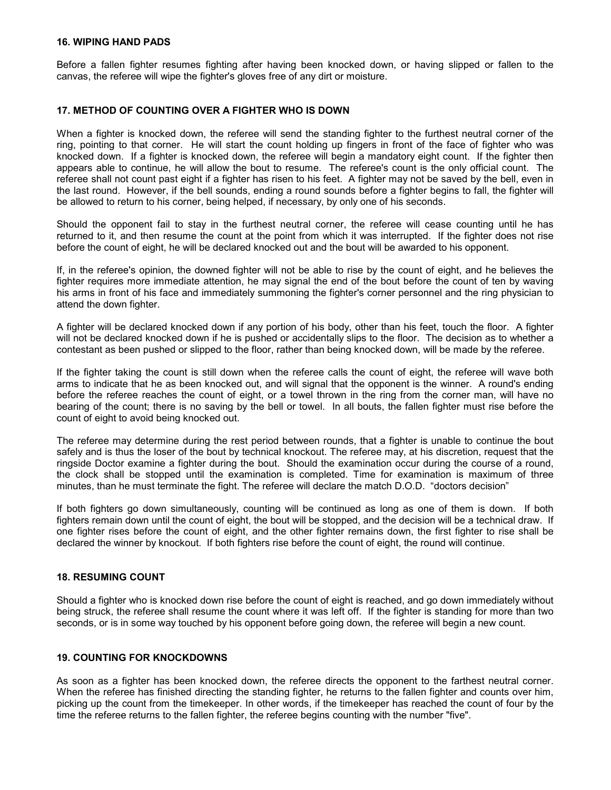#### 16. WIPING HAND PADS

Before a fallen fighter resumes fighting after having been knocked down, or having slipped or fallen to the canvas, the referee will wipe the fighter's gloves free of any dirt or moisture.

#### 17. METHOD OF COUNTING OVER A FIGHTER WHO IS DOWN

When a fighter is knocked down, the referee will send the standing fighter to the furthest neutral corner of the ring, pointing to that corner. He will start the count holding up fingers in front of the face of fighter who was knocked down. If a fighter is knocked down, the referee will begin a mandatory eight count. If the fighter then appears able to continue, he will allow the bout to resume. The referee's count is the only official count. The referee shall not count past eight if a fighter has risen to his feet. A fighter may not be saved by the bell, even in the last round. However, if the bell sounds, ending a round sounds before a fighter begins to fall, the fighter will be allowed to return to his corner, being helped, if necessary, by only one of his seconds.

Should the opponent fail to stay in the furthest neutral corner, the referee will cease counting until he has returned to it, and then resume the count at the point from which it was interrupted. If the fighter does not rise before the count of eight, he will be declared knocked out and the bout will be awarded to his opponent.

If, in the referee's opinion, the downed fighter will not be able to rise by the count of eight, and he believes the fighter requires more immediate attention, he may signal the end of the bout before the count of ten by waving his arms in front of his face and immediately summoning the fighter's corner personnel and the ring physician to attend the down fighter.

A fighter will be declared knocked down if any portion of his body, other than his feet, touch the floor. A fighter will not be declared knocked down if he is pushed or accidentally slips to the floor. The decision as to whether a contestant as been pushed or slipped to the floor, rather than being knocked down, will be made by the referee.

If the fighter taking the count is still down when the referee calls the count of eight, the referee will wave both arms to indicate that he as been knocked out, and will signal that the opponent is the winner. A round's ending before the referee reaches the count of eight, or a towel thrown in the ring from the corner man, will have no bearing of the count; there is no saving by the bell or towel. In all bouts, the fallen fighter must rise before the count of eight to avoid being knocked out.

The referee may determine during the rest period between rounds, that a fighter is unable to continue the bout safely and is thus the loser of the bout by technical knockout. The referee may, at his discretion, request that the ringside Doctor examine a fighter during the bout. Should the examination occur during the course of a round, the clock shall be stopped until the examination is completed. Time for examination is maximum of three minutes, than he must terminate the fight. The referee will declare the match D.O.D. "doctors decision"

If both fighters go down simultaneously, counting will be continued as long as one of them is down. If both fighters remain down until the count of eight, the bout will be stopped, and the decision will be a technical draw. If one fighter rises before the count of eight, and the other fighter remains down, the first fighter to rise shall be declared the winner by knockout. If both fighters rise before the count of eight, the round will continue.

#### 18. RESUMING COUNT

Should a fighter who is knocked down rise before the count of eight is reached, and go down immediately without being struck, the referee shall resume the count where it was left off. If the fighter is standing for more than two seconds, or is in some way touched by his opponent before going down, the referee will begin a new count.

#### 19. COUNTING FOR KNOCKDOWNS

As soon as a fighter has been knocked down, the referee directs the opponent to the farthest neutral corner. When the referee has finished directing the standing fighter, he returns to the fallen fighter and counts over him, picking up the count from the timekeeper. In other words, if the timekeeper has reached the count of four by the time the referee returns to the fallen fighter, the referee begins counting with the number "five".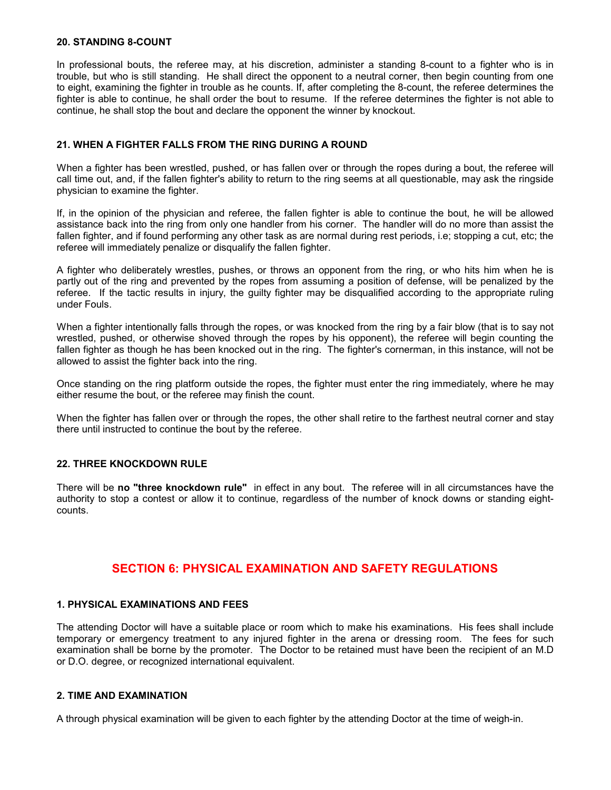#### 20. STANDING 8-COUNT

In professional bouts, the referee may, at his discretion, administer a standing 8-count to a fighter who is in trouble, but who is still standing. He shall direct the opponent to a neutral corner, then begin counting from one to eight, examining the fighter in trouble as he counts. If, after completing the 8-count, the referee determines the fighter is able to continue, he shall order the bout to resume. If the referee determines the fighter is not able to continue, he shall stop the bout and declare the opponent the winner by knockout.

#### 21. WHEN A FIGHTER FALLS FROM THE RING DURING A ROUND

When a fighter has been wrestled, pushed, or has fallen over or through the ropes during a bout, the referee will call time out, and, if the fallen fighter's ability to return to the ring seems at all questionable, may ask the ringside physician to examine the fighter.

If, in the opinion of the physician and referee, the fallen fighter is able to continue the bout, he will be allowed assistance back into the ring from only one handler from his corner. The handler will do no more than assist the fallen fighter, and if found performing any other task as are normal during rest periods, i.e; stopping a cut, etc; the referee will immediately penalize or disqualify the fallen fighter.

A fighter who deliberately wrestles, pushes, or throws an opponent from the ring, or who hits him when he is partly out of the ring and prevented by the ropes from assuming a position of defense, will be penalized by the referee. If the tactic results in injury, the guilty fighter may be disqualified according to the appropriate ruling under Fouls.

When a fighter intentionally falls through the ropes, or was knocked from the ring by a fair blow (that is to say not wrestled, pushed, or otherwise shoved through the ropes by his opponent), the referee will begin counting the fallen fighter as though he has been knocked out in the ring. The fighter's cornerman, in this instance, will not be allowed to assist the fighter back into the ring.

Once standing on the ring platform outside the ropes, the fighter must enter the ring immediately, where he may either resume the bout, or the referee may finish the count.

When the fighter has fallen over or through the ropes, the other shall retire to the farthest neutral corner and stay there until instructed to continue the bout by the referee.

#### 22. THREE KNOCKDOWN RULE

There will be no "three knockdown rule" in effect in any bout. The referee will in all circumstances have the authority to stop a contest or allow it to continue, regardless of the number of knock downs or standing eightcounts.

# SECTION 6: PHYSICAL EXAMINATION AND SAFETY REGULATIONS

#### 1. PHYSICAL EXAMINATIONS AND FEES

The attending Doctor will have a suitable place or room which to make his examinations. His fees shall include temporary or emergency treatment to any injured fighter in the arena or dressing room. The fees for such examination shall be borne by the promoter. The Doctor to be retained must have been the recipient of an M.D or D.O. degree, or recognized international equivalent.

#### 2. TIME AND EXAMINATION

A through physical examination will be given to each fighter by the attending Doctor at the time of weigh-in.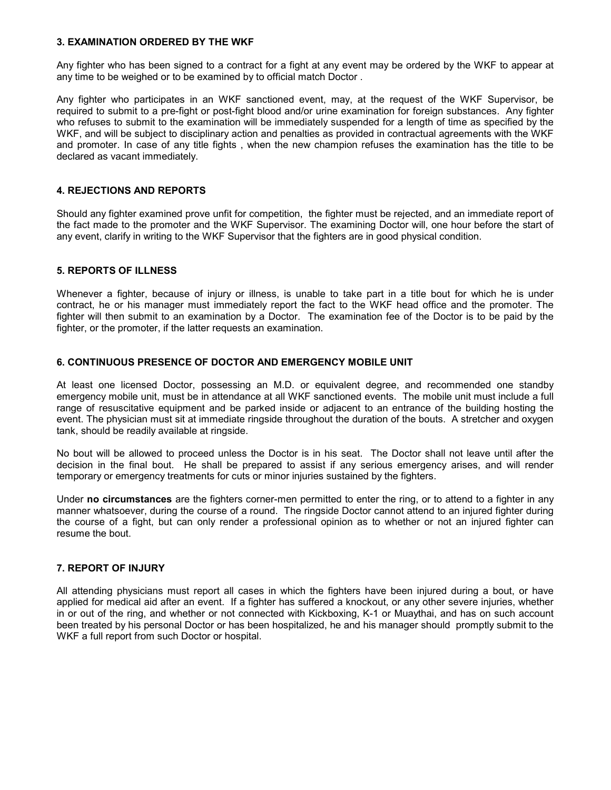#### 3. EXAMINATION ORDERED BY THE WKF

Any fighter who has been signed to a contract for a fight at any event may be ordered by the WKF to appear at any time to be weighed or to be examined by to official match Doctor .

Any fighter who participates in an WKF sanctioned event, may, at the request of the WKF Supervisor, be required to submit to a pre-fight or post-fight blood and/or urine examination for foreign substances. Any fighter who refuses to submit to the examination will be immediately suspended for a length of time as specified by the WKF, and will be subject to disciplinary action and penalties as provided in contractual agreements with the WKF and promoter. In case of any title fights , when the new champion refuses the examination has the title to be declared as vacant immediately.

#### 4. REJECTIONS AND REPORTS

Should any fighter examined prove unfit for competition, the fighter must be rejected, and an immediate report of the fact made to the promoter and the WKF Supervisor. The examining Doctor will, one hour before the start of any event, clarify in writing to the WKF Supervisor that the fighters are in good physical condition.

#### 5. REPORTS OF ILLNESS

Whenever a fighter, because of injury or illness, is unable to take part in a title bout for which he is under contract, he or his manager must immediately report the fact to the WKF head office and the promoter. The fighter will then submit to an examination by a Doctor. The examination fee of the Doctor is to be paid by the fighter, or the promoter, if the latter requests an examination.

#### 6. CONTINUOUS PRESENCE OF DOCTOR AND EMERGENCY MOBILE UNIT

At least one licensed Doctor, possessing an M.D. or equivalent degree, and recommended one standby emergency mobile unit, must be in attendance at all WKF sanctioned events. The mobile unit must include a full range of resuscitative equipment and be parked inside or adjacent to an entrance of the building hosting the event. The physician must sit at immediate ringside throughout the duration of the bouts. A stretcher and oxygen tank, should be readily available at ringside.

No bout will be allowed to proceed unless the Doctor is in his seat. The Doctor shall not leave until after the decision in the final bout. He shall be prepared to assist if any serious emergency arises, and will render temporary or emergency treatments for cuts or minor injuries sustained by the fighters.

Under no circumstances are the fighters corner-men permitted to enter the ring, or to attend to a fighter in any manner whatsoever, during the course of a round. The ringside Doctor cannot attend to an injured fighter during the course of a fight, but can only render a professional opinion as to whether or not an injured fighter can resume the bout.

#### 7. REPORT OF INJURY

All attending physicians must report all cases in which the fighters have been injured during a bout, or have applied for medical aid after an event. If a fighter has suffered a knockout, or any other severe injuries, whether in or out of the ring, and whether or not connected with Kickboxing, K-1 or Muaythai, and has on such account been treated by his personal Doctor or has been hospitalized, he and his manager should promptly submit to the WKF a full report from such Doctor or hospital.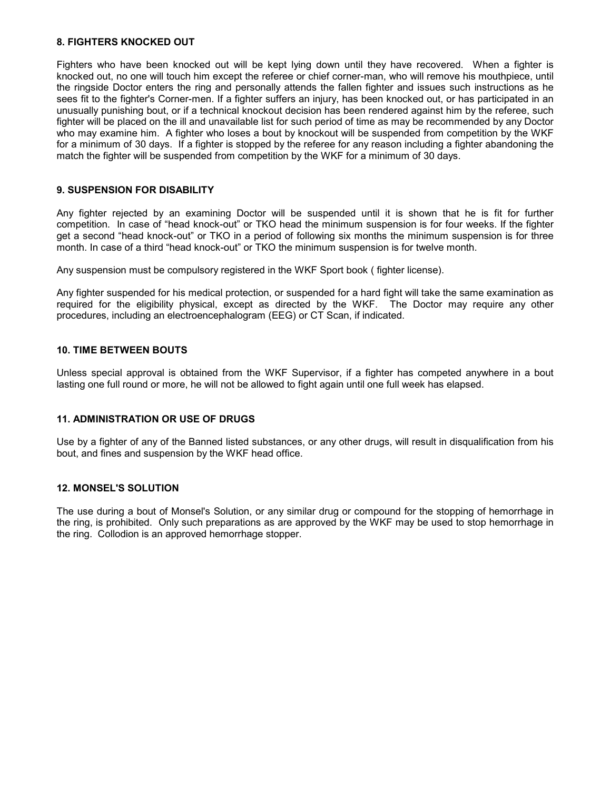#### 8. FIGHTERS KNOCKED OUT

Fighters who have been knocked out will be kept lying down until they have recovered. When a fighter is knocked out, no one will touch him except the referee or chief corner-man, who will remove his mouthpiece, until the ringside Doctor enters the ring and personally attends the fallen fighter and issues such instructions as he sees fit to the fighter's Corner-men. If a fighter suffers an injury, has been knocked out, or has participated in an unusually punishing bout, or if a technical knockout decision has been rendered against him by the referee, such fighter will be placed on the ill and unavailable list for such period of time as may be recommended by any Doctor who may examine him. A fighter who loses a bout by knockout will be suspended from competition by the WKF for a minimum of 30 days. If a fighter is stopped by the referee for any reason including a fighter abandoning the match the fighter will be suspended from competition by the WKF for a minimum of 30 days.

#### 9. SUSPENSION FOR DISABILITY

Any fighter rejected by an examining Doctor will be suspended until it is shown that he is fit for further competition. In case of "head knock-out" or TKO head the minimum suspension is for four weeks. If the fighter get a second "head knock-out" or TKO in a period of following six months the minimum suspension is for three month. In case of a third "head knock-out" or TKO the minimum suspension is for twelve month.

Any suspension must be compulsory registered in the WKF Sport book ( fighter license).

Any fighter suspended for his medical protection, or suspended for a hard fight will take the same examination as required for the eligibility physical, except as directed by the WKF. The Doctor may require any other procedures, including an electroencephalogram (EEG) or CT Scan, if indicated.

#### 10. TIME BETWEEN BOUTS

Unless special approval is obtained from the WKF Supervisor, if a fighter has competed anywhere in a bout lasting one full round or more, he will not be allowed to fight again until one full week has elapsed.

#### 11. ADMINISTRATION OR USE OF DRUGS

Use by a fighter of any of the Banned listed substances, or any other drugs, will result in disqualification from his bout, and fines and suspension by the WKF head office.

#### 12. MONSEL'S SOLUTION

The use during a bout of Monsel's Solution, or any similar drug or compound for the stopping of hemorrhage in the ring, is prohibited. Only such preparations as are approved by the WKF may be used to stop hemorrhage in the ring. Collodion is an approved hemorrhage stopper.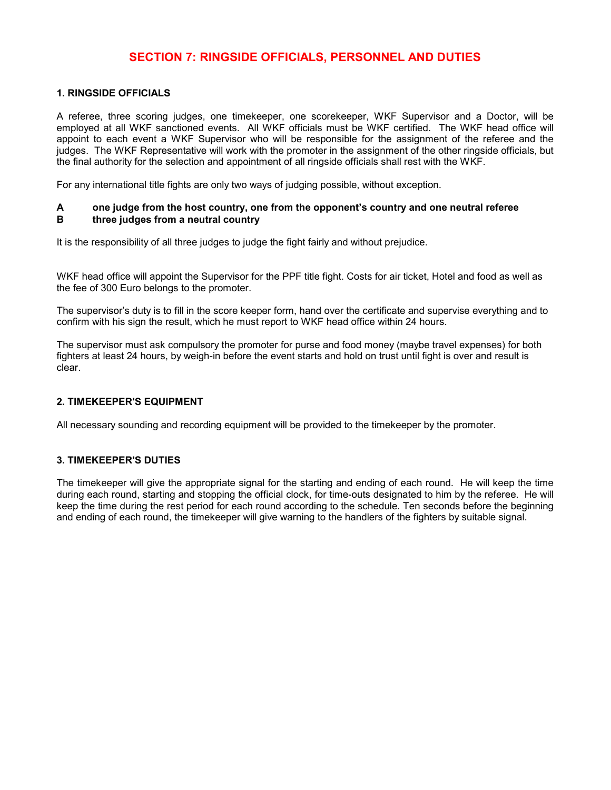# SECTION 7: RINGSIDE OFFICIALS, PERSONNEL AND DUTIES

#### 1. RINGSIDE OFFICIALS

A referee, three scoring judges, one timekeeper, one scorekeeper, WKF Supervisor and a Doctor, will be employed at all WKF sanctioned events. All WKF officials must be WKF certified. The WKF head office will appoint to each event a WKF Supervisor who will be responsible for the assignment of the referee and the judges. The WKF Representative will work with the promoter in the assignment of the other ringside officials, but the final authority for the selection and appointment of all ringside officials shall rest with the WKF.

For any international title fights are only two ways of judging possible, without exception.

#### A one judge from the host country, one from the opponent's country and one neutral referee B three judges from a neutral country

It is the responsibility of all three judges to judge the fight fairly and without prejudice.

WKF head office will appoint the Supervisor for the PPF title fight. Costs for air ticket, Hotel and food as well as the fee of 300 Euro belongs to the promoter.

The supervisor's duty is to fill in the score keeper form, hand over the certificate and supervise everything and to confirm with his sign the result, which he must report to WKF head office within 24 hours.

The supervisor must ask compulsory the promoter for purse and food money (maybe travel expenses) for both fighters at least 24 hours, by weigh-in before the event starts and hold on trust until fight is over and result is clear.

#### 2. TIMEKEEPER'S EQUIPMENT

All necessary sounding and recording equipment will be provided to the timekeeper by the promoter.

#### 3. TIMEKEEPER'S DUTIES

The timekeeper will give the appropriate signal for the starting and ending of each round. He will keep the time during each round, starting and stopping the official clock, for time-outs designated to him by the referee. He will keep the time during the rest period for each round according to the schedule. Ten seconds before the beginning and ending of each round, the timekeeper will give warning to the handlers of the fighters by suitable signal.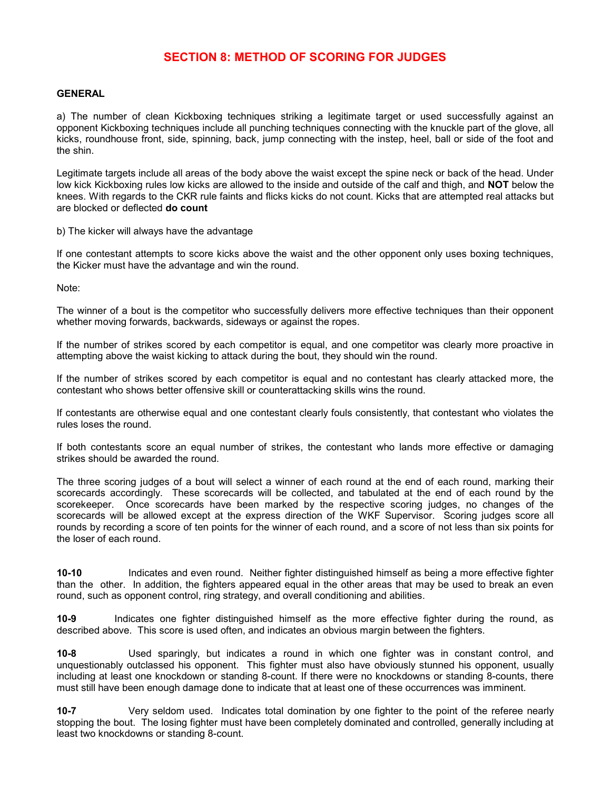# SECTION 8: METHOD OF SCORING FOR JUDGES

#### GENERAL

a) The number of clean Kickboxing techniques striking a legitimate target or used successfully against an opponent Kickboxing techniques include all punching techniques connecting with the knuckle part of the glove, all kicks, roundhouse front, side, spinning, back, jump connecting with the instep, heel, ball or side of the foot and the shin.

Legitimate targets include all areas of the body above the waist except the spine neck or back of the head. Under low kick Kickboxing rules low kicks are allowed to the inside and outside of the calf and thigh, and **NOT** below the knees. With regards to the CKR rule faints and flicks kicks do not count. Kicks that are attempted real attacks but are blocked or deflected **do count** 

b) The kicker will always have the advantage

If one contestant attempts to score kicks above the waist and the other opponent only uses boxing techniques, the Kicker must have the advantage and win the round.

Note:

The winner of a bout is the competitor who successfully delivers more effective techniques than their opponent whether moving forwards, backwards, sideways or against the ropes.

If the number of strikes scored by each competitor is equal, and one competitor was clearly more proactive in attempting above the waist kicking to attack during the bout, they should win the round.

If the number of strikes scored by each competitor is equal and no contestant has clearly attacked more, the contestant who shows better offensive skill or counterattacking skills wins the round.

If contestants are otherwise equal and one contestant clearly fouls consistently, that contestant who violates the rules loses the round.

If both contestants score an equal number of strikes, the contestant who lands more effective or damaging strikes should be awarded the round.

The three scoring judges of a bout will select a winner of each round at the end of each round, marking their scorecards accordingly. These scorecards will be collected, and tabulated at the end of each round by the scorekeeper. Once scorecards have been marked by the respective scoring judges, no changes of the scorecards will be allowed except at the express direction of the WKF Supervisor. Scoring judges score all rounds by recording a score of ten points for the winner of each round, and a score of not less than six points for the loser of each round.

10-10 Indicates and even round. Neither fighter distinguished himself as being a more effective fighter than the other. In addition, the fighters appeared equal in the other areas that may be used to break an even round, such as opponent control, ring strategy, and overall conditioning and abilities.

10-9 Indicates one fighter distinguished himself as the more effective fighter during the round, as described above. This score is used often, and indicates an obvious margin between the fighters.

10-8 Used sparingly, but indicates a round in which one fighter was in constant control, and unquestionably outclassed his opponent. This fighter must also have obviously stunned his opponent, usually including at least one knockdown or standing 8-count. If there were no knockdowns or standing 8-counts, there must still have been enough damage done to indicate that at least one of these occurrences was imminent.

10-7 Very seldom used. Indicates total domination by one fighter to the point of the referee nearly stopping the bout. The losing fighter must have been completely dominated and controlled, generally including at least two knockdowns or standing 8-count.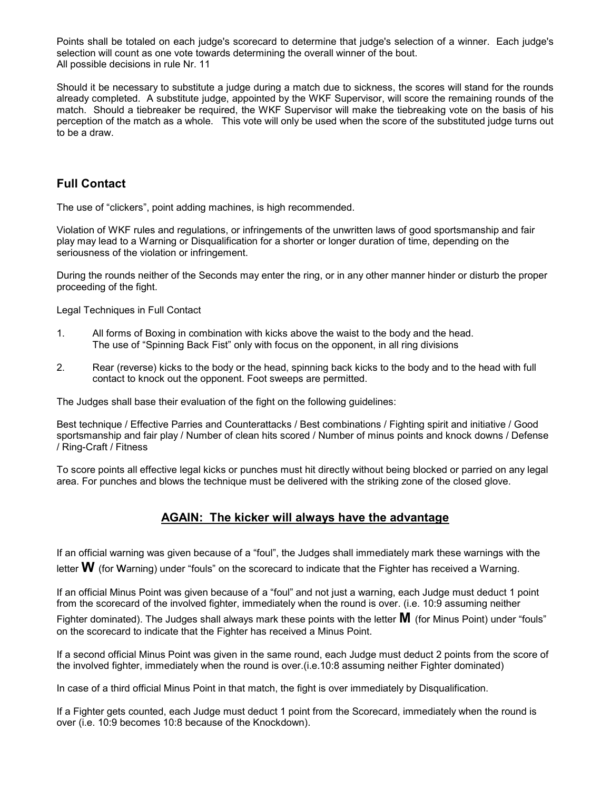Points shall be totaled on each judge's scorecard to determine that judge's selection of a winner. Each judge's selection will count as one vote towards determining the overall winner of the bout. All possible decisions in rule Nr. 11

Should it be necessary to substitute a judge during a match due to sickness, the scores will stand for the rounds already completed. A substitute judge, appointed by the WKF Supervisor, will score the remaining rounds of the match. Should a tiebreaker be required, the WKF Supervisor will make the tiebreaking vote on the basis of his perception of the match as a whole. This vote will only be used when the score of the substituted judge turns out to be a draw.

# Full Contact

The use of "clickers", point adding machines, is high recommended.

Violation of WKF rules and regulations, or infringements of the unwritten laws of good sportsmanship and fair play may lead to a Warning or Disqualification for a shorter or longer duration of time, depending on the seriousness of the violation or infringement.

During the rounds neither of the Seconds may enter the ring, or in any other manner hinder or disturb the proper proceeding of the fight.

Legal Techniques in Full Contact

- 1. All forms of Boxing in combination with kicks above the waist to the body and the head. The use of "Spinning Back Fist" only with focus on the opponent, in all ring divisions
- 2. Rear (reverse) kicks to the body or the head, spinning back kicks to the body and to the head with full contact to knock out the opponent. Foot sweeps are permitted.

The Judges shall base their evaluation of the fight on the following guidelines:

Best technique / Effective Parries and Counterattacks / Best combinations / Fighting spirit and initiative / Good sportsmanship and fair play / Number of clean hits scored / Number of minus points and knock downs / Defense / Ring-Craft / Fitness

To score points all effective legal kicks or punches must hit directly without being blocked or parried on any legal area. For punches and blows the technique must be delivered with the striking zone of the closed glove.

# AGAIN: The kicker will always have the advantage

If an official warning was given because of a "foul", the Judges shall immediately mark these warnings with the letter  $W$  (for Warning) under "fouls" on the scorecard to indicate that the Fighter has received a Warning.

If an official Minus Point was given because of a "foul" and not just a warning, each Judge must deduct 1 point from the scorecard of the involved fighter, immediately when the round is over. (i.e. 10:9 assuming neither Fighter dominated). The Judges shall always mark these points with the letter  $M$  (for Minus Point) under "fouls" on the scorecard to indicate that the Fighter has received a Minus Point.

If a second official Minus Point was given in the same round, each Judge must deduct 2 points from the score of the involved fighter, immediately when the round is over.(i.e.10:8 assuming neither Fighter dominated)

In case of a third official Minus Point in that match, the fight is over immediately by Disqualification.

If a Fighter gets counted, each Judge must deduct 1 point from the Scorecard, immediately when the round is over (i.e. 10:9 becomes 10:8 because of the Knockdown).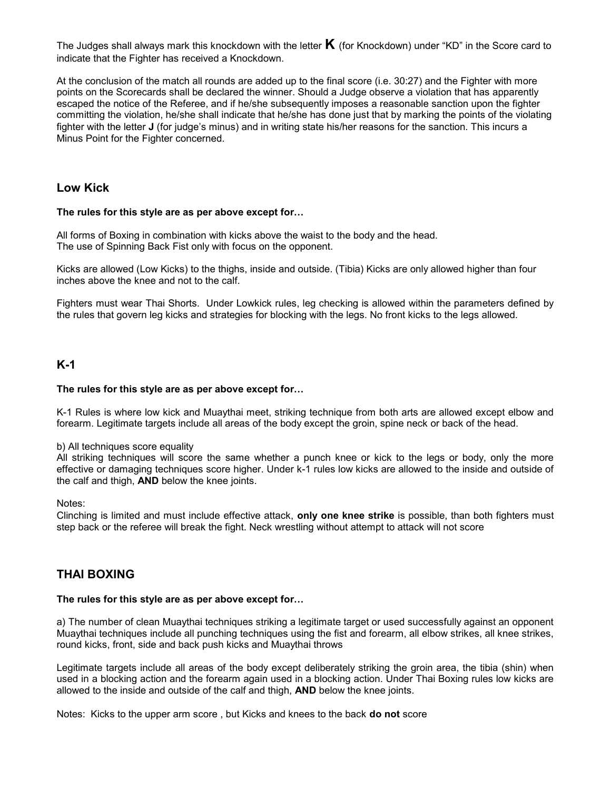The Judges shall always mark this knockdown with the letter  $\bm{\mathsf{K}}$  (for Knockdown) under "KD" in the Score card to indicate that the Fighter has received a Knockdown.

At the conclusion of the match all rounds are added up to the final score (i.e. 30:27) and the Fighter with more points on the Scorecards shall be declared the winner. Should a Judge observe a violation that has apparently escaped the notice of the Referee, and if he/she subsequently imposes a reasonable sanction upon the fighter committing the violation, he/she shall indicate that he/she has done just that by marking the points of the violating fighter with the letter J (for judge's minus) and in writing state his/her reasons for the sanction. This incurs a Minus Point for the Fighter concerned.

### Low Kick

#### The rules for this style are as per above except for…

All forms of Boxing in combination with kicks above the waist to the body and the head. The use of Spinning Back Fist only with focus on the opponent.

Kicks are allowed (Low Kicks) to the thighs, inside and outside. (Tibia) Kicks are only allowed higher than four inches above the knee and not to the calf.

Fighters must wear Thai Shorts. Under Lowkick rules, leg checking is allowed within the parameters defined by the rules that govern leg kicks and strategies for blocking with the legs. No front kicks to the legs allowed.

# K-1

#### The rules for this style are as per above except for…

K-1 Rules is where low kick and Muaythai meet, striking technique from both arts are allowed except elbow and forearm. Legitimate targets include all areas of the body except the groin, spine neck or back of the head.

#### b) All techniques score equality

All striking techniques will score the same whether a punch knee or kick to the legs or body, only the more effective or damaging techniques score higher. Under k-1 rules low kicks are allowed to the inside and outside of the calf and thigh, AND below the knee joints.

#### Notes:

Clinching is limited and must include effective attack, only one knee strike is possible, than both fighters must step back or the referee will break the fight. Neck wrestling without attempt to attack will not score

# THAI BOXING

#### The rules for this style are as per above except for…

a) The number of clean Muaythai techniques striking a legitimate target or used successfully against an opponent Muaythai techniques include all punching techniques using the fist and forearm, all elbow strikes, all knee strikes, round kicks, front, side and back push kicks and Muaythai throws

Legitimate targets include all areas of the body except deliberately striking the groin area, the tibia (shin) when used in a blocking action and the forearm again used in a blocking action. Under Thai Boxing rules low kicks are allowed to the inside and outside of the calf and thigh, AND below the knee joints.

Notes: Kicks to the upper arm score , but Kicks and knees to the back do not score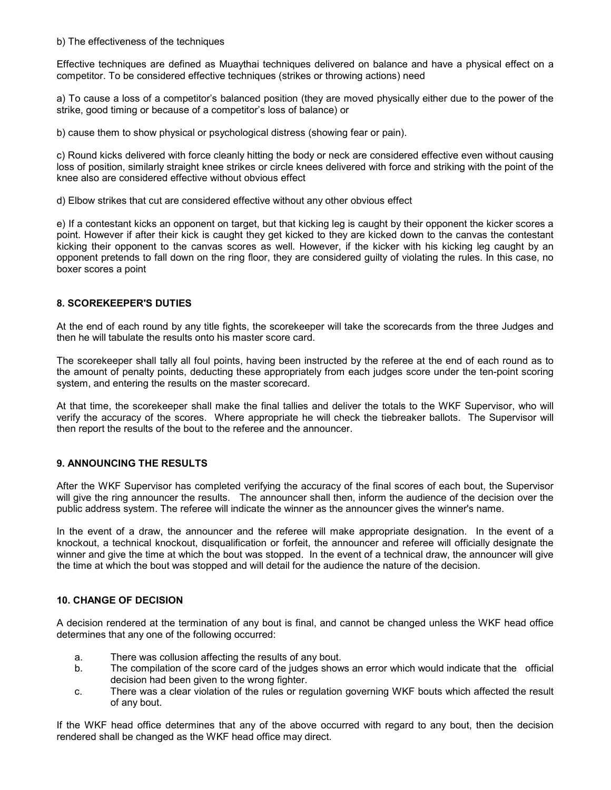#### b) The effectiveness of the techniques

Effective techniques are defined as Muaythai techniques delivered on balance and have a physical effect on a competitor. To be considered effective techniques (strikes or throwing actions) need

a) To cause a loss of a competitor's balanced position (they are moved physically either due to the power of the strike, good timing or because of a competitor's loss of balance) or

b) cause them to show physical or psychological distress (showing fear or pain).

c) Round kicks delivered with force cleanly hitting the body or neck are considered effective even without causing loss of position, similarly straight knee strikes or circle knees delivered with force and striking with the point of the knee also are considered effective without obvious effect

d) Elbow strikes that cut are considered effective without any other obvious effect

e) If a contestant kicks an opponent on target, but that kicking leg is caught by their opponent the kicker scores a point. However if after their kick is caught they get kicked to they are kicked down to the canvas the contestant kicking their opponent to the canvas scores as well. However, if the kicker with his kicking leg caught by an opponent pretends to fall down on the ring floor, they are considered guilty of violating the rules. In this case, no boxer scores a point

#### 8. SCOREKEEPER'S DUTIES

At the end of each round by any title fights, the scorekeeper will take the scorecards from the three Judges and then he will tabulate the results onto his master score card.

The scorekeeper shall tally all foul points, having been instructed by the referee at the end of each round as to the amount of penalty points, deducting these appropriately from each judges score under the ten-point scoring system, and entering the results on the master scorecard.

At that time, the scorekeeper shall make the final tallies and deliver the totals to the WKF Supervisor, who will verify the accuracy of the scores. Where appropriate he will check the tiebreaker ballots. The Supervisor will then report the results of the bout to the referee and the announcer.

#### 9. ANNOUNCING THE RESULTS

After the WKF Supervisor has completed verifying the accuracy of the final scores of each bout, the Supervisor will give the ring announcer the results. The announcer shall then, inform the audience of the decision over the public address system. The referee will indicate the winner as the announcer gives the winner's name.

In the event of a draw, the announcer and the referee will make appropriate designation. In the event of a knockout, a technical knockout, disqualification or forfeit, the announcer and referee will officially designate the winner and give the time at which the bout was stopped. In the event of a technical draw, the announcer will give the time at which the bout was stopped and will detail for the audience the nature of the decision.

#### 10. CHANGE OF DECISION

A decision rendered at the termination of any bout is final, and cannot be changed unless the WKF head office determines that any one of the following occurred:

- a. There was collusion affecting the results of any bout.
- b. The compilation of the score card of the judges shows an error which would indicate that the official decision had been given to the wrong fighter.
- c. There was a clear violation of the rules or regulation governing WKF bouts which affected the result of any bout.

If the WKF head office determines that any of the above occurred with regard to any bout, then the decision rendered shall be changed as the WKF head office may direct.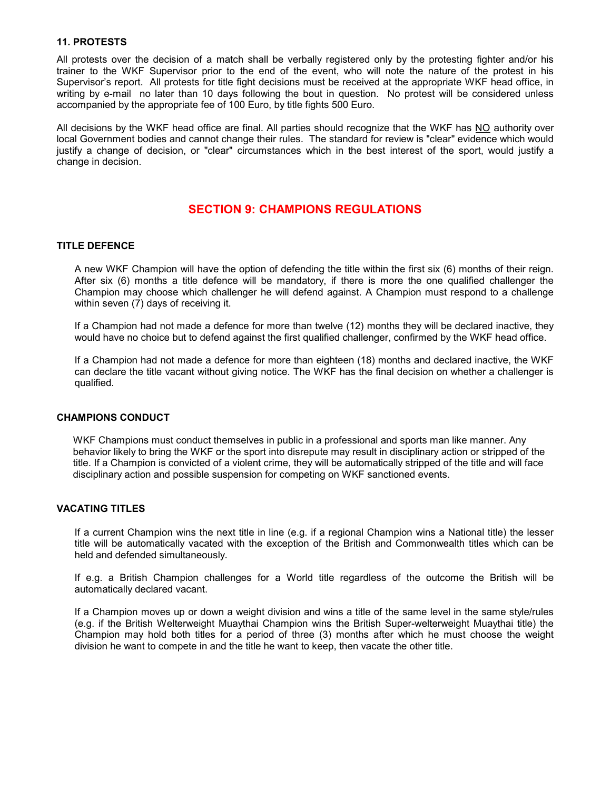#### 11. PROTESTS

All protests over the decision of a match shall be verbally registered only by the protesting fighter and/or his trainer to the WKF Supervisor prior to the end of the event, who will note the nature of the protest in his Supervisor's report. All protests for title fight decisions must be received at the appropriate WKF head office, in writing by e-mail no later than 10 days following the bout in question. No protest will be considered unless accompanied by the appropriate fee of 100 Euro, by title fights 500 Euro.

All decisions by the WKF head office are final. All parties should recognize that the WKF has NO authority over local Government bodies and cannot change their rules. The standard for review is "clear" evidence which would justify a change of decision, or "clear" circumstances which in the best interest of the sport, would justify a change in decision.

# SECTION 9: CHAMPIONS REGULATIONS

#### TITLE DEFENCE

A new WKF Champion will have the option of defending the title within the first six (6) months of their reign. After six (6) months a title defence will be mandatory, if there is more the one qualified challenger the Champion may choose which challenger he will defend against. A Champion must respond to a challenge within seven (7) days of receiving it.

If a Champion had not made a defence for more than twelve (12) months they will be declared inactive, they would have no choice but to defend against the first qualified challenger, confirmed by the WKF head office.

If a Champion had not made a defence for more than eighteen (18) months and declared inactive, the WKF can declare the title vacant without giving notice. The WKF has the final decision on whether a challenger is qualified.

#### CHAMPIONS CONDUCT

WKF Champions must conduct themselves in public in a professional and sports man like manner. Any behavior likely to bring the WKF or the sport into disrepute may result in disciplinary action or stripped of the title. If a Champion is convicted of a violent crime, they will be automatically stripped of the title and will face disciplinary action and possible suspension for competing on WKF sanctioned events.

#### VACATING TITLES

If a current Champion wins the next title in line (e.g. if a regional Champion wins a National title) the lesser title will be automatically vacated with the exception of the British and Commonwealth titles which can be held and defended simultaneously.

If e.g. a British Champion challenges for a World title regardless of the outcome the British will be automatically declared vacant.

If a Champion moves up or down a weight division and wins a title of the same level in the same style/rules (e.g. if the British Welterweight Muaythai Champion wins the British Super-welterweight Muaythai title) the Champion may hold both titles for a period of three (3) months after which he must choose the weight division he want to compete in and the title he want to keep, then vacate the other title.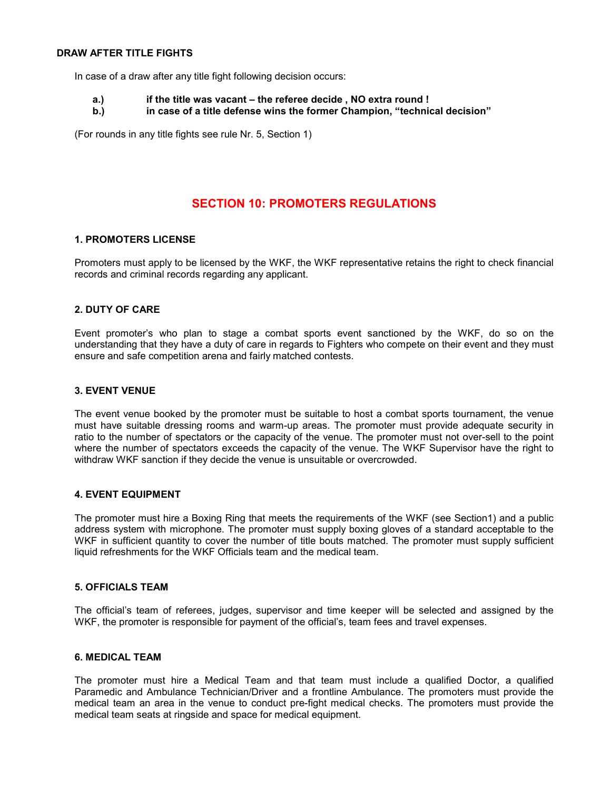#### DRAW AFTER TITLE FIGHTS

In case of a draw after any title fight following decision occurs:

#### a.) if the title was vacant – the referee decide, NO extra round !

b.) in case of a title defense wins the former Champion, "technical decision"

(For rounds in any title fights see rule Nr. 5, Section 1)

# SECTION 10: PROMOTERS REGULATIONS

#### 1. PROMOTERS LICENSE

Promoters must apply to be licensed by the WKF, the WKF representative retains the right to check financial records and criminal records regarding any applicant.

#### 2. DUTY OF CARE

Event promoter's who plan to stage a combat sports event sanctioned by the WKF, do so on the understanding that they have a duty of care in regards to Fighters who compete on their event and they must ensure and safe competition arena and fairly matched contests.

#### 3. EVENT VENUE

The event venue booked by the promoter must be suitable to host a combat sports tournament, the venue must have suitable dressing rooms and warm-up areas. The promoter must provide adequate security in ratio to the number of spectators or the capacity of the venue. The promoter must not over-sell to the point where the number of spectators exceeds the capacity of the venue. The WKF Supervisor have the right to withdraw WKF sanction if they decide the venue is unsuitable or overcrowded.

#### 4. EVENT EQUIPMENT

The promoter must hire a Boxing Ring that meets the requirements of the WKF (see Section1) and a public address system with microphone. The promoter must supply boxing gloves of a standard acceptable to the WKF in sufficient quantity to cover the number of title bouts matched. The promoter must supply sufficient liquid refreshments for the WKF Officials team and the medical team.

#### 5. OFFICIALS TEAM

The official's team of referees, judges, supervisor and time keeper will be selected and assigned by the WKF, the promoter is responsible for payment of the official's, team fees and travel expenses.

#### 6. MEDICAL TEAM

The promoter must hire a Medical Team and that team must include a qualified Doctor, a qualified Paramedic and Ambulance Technician/Driver and a frontline Ambulance. The promoters must provide the medical team an area in the venue to conduct pre-fight medical checks. The promoters must provide the medical team seats at ringside and space for medical equipment.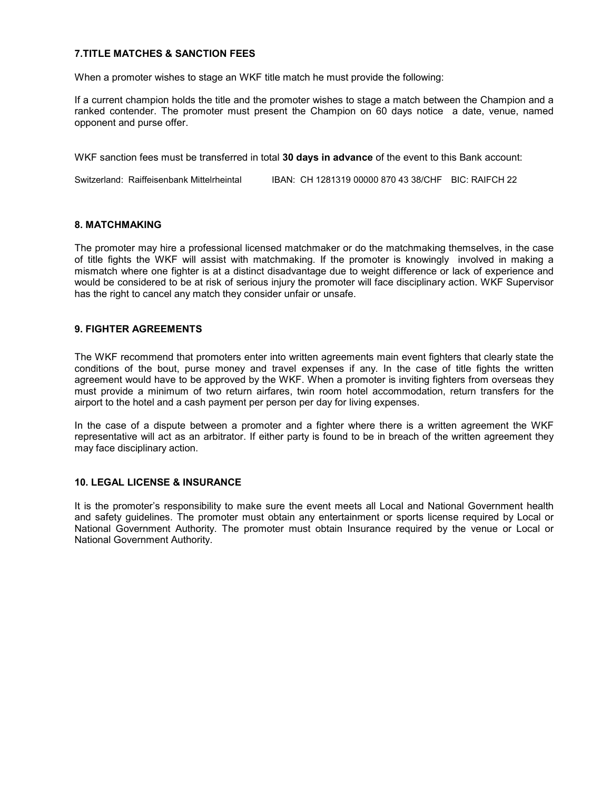#### 7.TITLE MATCHES & SANCTION FEES

When a promoter wishes to stage an WKF title match he must provide the following:

If a current champion holds the title and the promoter wishes to stage a match between the Champion and a ranked contender. The promoter must present the Champion on 60 days notice a date, venue, named opponent and purse offer.

WKF sanction fees must be transferred in total 30 days in advance of the event to this Bank account:

Switzerland: Raiffeisenbank Mittelrheintal IBAN: CH 1281319 00000 870 43 38/CHF BIC: RAIFCH 22

#### 8. MATCHMAKING

The promoter may hire a professional licensed matchmaker or do the matchmaking themselves, in the case of title fights the WKF will assist with matchmaking. If the promoter is knowingly involved in making a mismatch where one fighter is at a distinct disadvantage due to weight difference or lack of experience and would be considered to be at risk of serious injury the promoter will face disciplinary action. WKF Supervisor has the right to cancel any match they consider unfair or unsafe.

#### 9. FIGHTER AGREEMENTS

The WKF recommend that promoters enter into written agreements main event fighters that clearly state the conditions of the bout, purse money and travel expenses if any. In the case of title fights the written agreement would have to be approved by the WKF. When a promoter is inviting fighters from overseas they must provide a minimum of two return airfares, twin room hotel accommodation, return transfers for the airport to the hotel and a cash payment per person per day for living expenses.

In the case of a dispute between a promoter and a fighter where there is a written agreement the WKF representative will act as an arbitrator. If either party is found to be in breach of the written agreement they may face disciplinary action.

#### 10. LEGAL LICENSE & INSURANCE

It is the promoter's responsibility to make sure the event meets all Local and National Government health and safety guidelines. The promoter must obtain any entertainment or sports license required by Local or National Government Authority. The promoter must obtain Insurance required by the venue or Local or National Government Authority.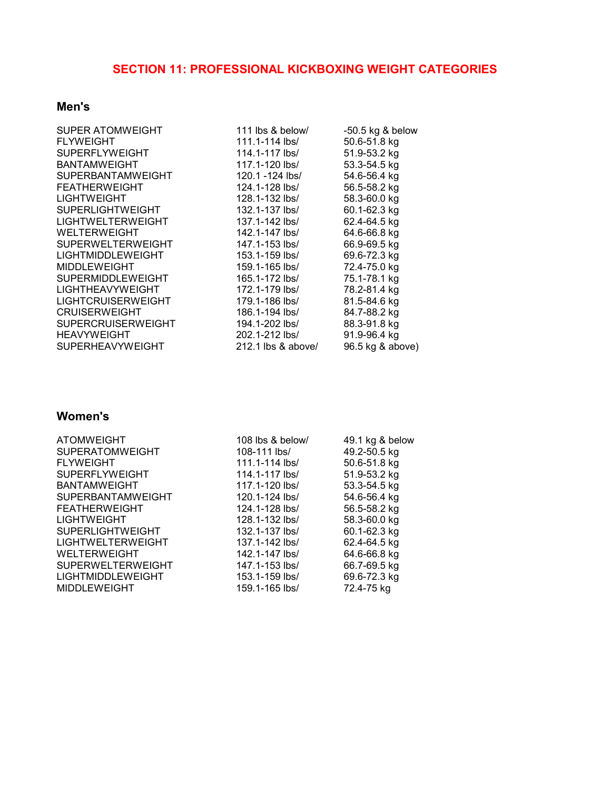#### SECTION 11: PROFESSIONAL KICKBOXING WEIGHT CATEGORIES

# Men's

| <b>SUPER ATOMWEIGHT</b>  |
|--------------------------|
| <b>FLYWEIGHT</b>         |
| <b>SUPERFLYWEIGHT</b>    |
| <b>BANTAMWEIGHT</b>      |
| <b>SUPERBANTAMWEIGHT</b> |
| <b>FEATHERWEIGHT</b>     |
| LIGHTWEIGHT              |
| SUPERLIGHTWEIGHT         |
| LIGHTWELTERWEIGHT        |
| WELTERWEIGHT             |
| <b>SUPERWELTERWEIGHT</b> |
| LIGHTMIDDLEWEIGHT        |
| <b>MIDDLEWEIGHT</b>      |
| SUPERMIDDLEWEIGHT        |
| LIGHTHEAVYWEIGHT         |
| LIGHTCRUISERWEIGHT       |
| <b>CRUISERWEIGHT</b>     |
| SUPERCRUISERWEIGHT       |
| <b>HEAVYWEIGHT</b>       |
| SUPERHEAVYWEIGHT         |

111 lbs & below/ -50.5 kg & below 111.1-114 lbs/ 50.6-51.8 kg 114.1-117 lbs/ 51.9-53.2 kg 117.1-120 lbs/ 53.3-54.5 kg 120.1 -124 lbs/ 54.6-56.4 kg 124.1-128 lbs/ 56.5-58.2 kg<br>128.1-132 lbs/ 58.3-60.0 kg 128.1-132 lbs/ 58.3-60.0 kg<br>132.1-137 lbs/ 60.1-62.3 kg 132.1-137 lbs/ 137.1-142 lbs/ 62.4-64.5 kg<br>142.1-147 lbs/ 64.6-66.8 kg 142.1-147 lbs/ 64.6-66.8 kg<br>147.1-153 lbs/ 66.9-69.5 kg 147.1-153 lbs/ 153.1-159 lbs/ 69.6-72.3 kg 159.1-165 lbs/ 72.4-75.0 kg 165.1-172 lbs/ 75.1-78.1 kg 172.1-179 lbs/ 78.2-81.4 kg 179.1-186 lbs/ 81.5-84.6 kg<br>186.1-194 lbs/ 84.7-88.2 kg 186.1-194 lbs/ 194.1-202 lbs/ 88.3-91.8 kg 202.1-212 lbs/ 91.9-96.4 kg<br>212.1 lbs & above/ 96.5 kg & above)  $212.1$  lbs & above/

# Women's

| <b>ATOMWEIGHT</b><br>108 lbs & below/<br>49.1 kg & below   |  |
|------------------------------------------------------------|--|
| 49.2-50.5 kg<br><b>SUPERATOMWEIGHT</b><br>108-111 lbs/     |  |
| <b>FLYWEIGHT</b><br>111.1-114 lbs/<br>50.6-51.8 kg         |  |
| <b>SUPERFLYWEIGHT</b><br>114.1-117 lbs/<br>51.9-53.2 kg    |  |
| <b>BANTAMWEIGHT</b><br>53.3-54.5 kg<br>117.1-120 lbs/      |  |
| <b>SUPERBANTAMWEIGHT</b><br>54.6-56.4 kg<br>120.1-124 lbs/ |  |
| 56.5-58.2 kg<br><b>FEATHERWEIGHT</b><br>124.1-128 lbs/     |  |
| <b>LIGHTWEIGHT</b><br>58.3-60.0 kg<br>128.1-132 lbs/       |  |
| <b>SUPERLIGHTWEIGHT</b><br>60.1-62.3 kg<br>132.1-137 lbs/  |  |
| <b>LIGHTWELTERWEIGHT</b><br>62.4-64.5 kg<br>137.1-142 lbs/ |  |
| <b>WELTERWEIGHT</b><br>64.6-66.8 kg<br>142.1-147 lbs/      |  |
| <b>SUPERWELTERWEIGHT</b><br>66.7-69.5 kg<br>147.1-153 lbs/ |  |
| LIGHTMIDDLEWEIGHT<br>69.6-72.3 kg<br>153.1-159 lbs/        |  |
| <b>MIDDLEWEIGHT</b><br>72.4-75 kg<br>159.1-165 lbs/        |  |